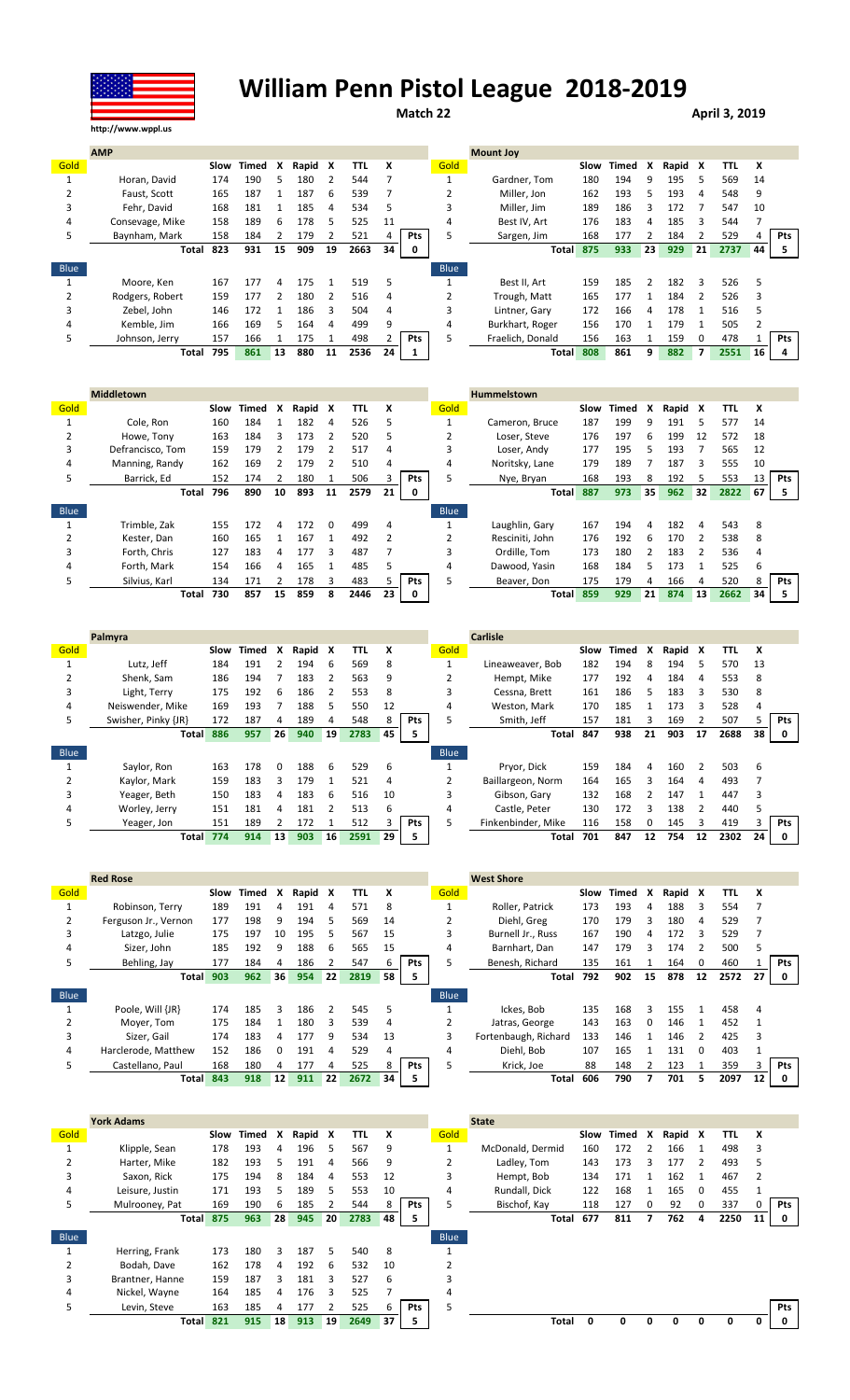

## William Penn Pistol League 2018-2019

Match 22 **April 3, 2019** 

|             | <b>AMP</b>      |      |       |    |       |    |      |    |     |             | <b>Mount Joy</b> |      |       |    |         |          |      |    |            |
|-------------|-----------------|------|-------|----|-------|----|------|----|-----|-------------|------------------|------|-------|----|---------|----------|------|----|------------|
| Gold        |                 | Slow | Timed | x  | Rapid | x  | TTL  | X  |     | Gold        |                  | Slow | Timed | X  | Rapid X |          | TTL  | X  |            |
|             | Horan, David    | 174  | 190   | 5  | 180   |    | 544  |    |     |             | Gardner, Tom     | 180  | 194   | q  | 195     | 5        | 569  | 14 |            |
|             | Faust, Scott    | 165  | 187   |    | 187   | 6  | 539  |    |     |             | Miller. Jon      | 162  | 193   | 5  | 193     | 4        | 548  | 9  |            |
| 3           | Fehr. David     | 168  | 181   |    | 185   | 4  | 534  | 5  |     |             | Miller. Jim      | 189  | 186   |    | 172     |          | 547  | 10 |            |
| 4           | Consevage, Mike | 158  | 189   | 6  | 178   | 5  | 525  | 11 |     | 4           | Best IV. Art     | 176  | 183   | 4  | 185     | 3        | 544  |    |            |
| 5.          | Baynham, Mark   | 158  | 184   |    | 179   |    | 521  |    | Pts | 5.          | Sargen, Jim      | 168  | 177   |    | 184     |          | 529  |    | <b>Pts</b> |
|             | Total           | 823  | 931   | 15 | 909   | 19 | 2663 | 34 | 0   |             | <b>Total</b>     | 875  | 933   | 23 | 929     | 21       | 2737 | 44 | 5          |
| <b>Blue</b> |                 |      |       |    |       |    |      |    |     | <b>Blue</b> |                  |      |       |    |         |          |      |    |            |
|             | Moore. Ken      | 167  | 177   |    | 175   |    | 519  | 5  |     |             | Best II. Art     | 159  | 185   |    | 182     | ξ        | 526  |    |            |
|             | Rodgers, Robert | 159  | 177   |    | 180   |    | 516  | 4  |     |             | Trough, Matt     | 165  | 177   |    | 184     |          | 526  | 3  |            |
| 3           | Zebel. John     | 146  | 172   |    | 186   | ς  | 504  | 4  |     | 3           | Lintner. Garv    | 172  | 166   | Δ  | 178     |          | 516  |    |            |
| 4           | Kemble, Jim     | 166  | 169   | 5. | 164   | 4  | 499  | 9  |     | 4           | Burkhart, Roger  | 156  | 170   |    | 179     |          | 505  |    |            |
| 5.          | Johnson, Jerry  | 157  | 166   |    | 175   |    | 498  |    | Pts | 5           | Fraelich. Donald | 156  | 163   |    | 159     | $\Omega$ | 478  |    | <b>Pts</b> |
|             | Total           | 795  | 861   | 13 | 880   | 11 | 2536 | 24 |     |             | Total            | 808  | 861   | 9  | 882     | 7        | 2551 | 16 | 4          |

|      | <b>Middletown</b> |      |       |    |       |          |      |    |            |             | <b>Hummelstown</b> |      |       |               |       |    |      |    |            |
|------|-------------------|------|-------|----|-------|----------|------|----|------------|-------------|--------------------|------|-------|---------------|-------|----|------|----|------------|
| Gold |                   | Slow | Timed | X  | Rapid | X        | TTL  | x  |            | Gold        |                    | Slow | Timed | x             | Rapid | X  | TTL  | x  |            |
|      | Cole, Ron         | 160  | 184   |    | 182   | 4        | 526  | 5  |            |             | Cameron, Bruce     | 187  | 199   | 9             | 191   | 5  | 577  | 14 |            |
|      | Howe, Tony        | 163  | 184   | 3  | 173   |          | 520  | 5  |            | z           | Loser, Steve       | 176  | 197   | 6             | 199   | 12 | 572  | 18 |            |
|      | Defrancisco, Tom  | 159  | 179   |    | 179   |          | 517  | 4  |            |             | Loser, Andy        | 177  | 195   | 5.            | 193   |    | 565  | 12 |            |
| 4    | Manning, Randy    | 162  | 169   |    | 179   |          | 510  | 4  |            | 4           | Noritsky, Lane     | 179  | 189   |               | 187   | 3  | 555  | 10 |            |
| 5.   | Barrick, Ed       | 152  | 174   |    | 180   |          | 506  |    | <b>Pts</b> | 5           | Nye, Bryan         | 168  | 193   | 8             | 192   | 5  | 553  | 13 | <b>Pts</b> |
|      | Total             | 796  | 890   | 10 | 893   | 11       | 2579 | 21 | 0          |             | <b>Total</b>       | 887  | 973   | 35            | 962   | 32 | 2822 | 67 | 5          |
| Blue |                   |      |       |    |       |          |      |    |            | <b>Blue</b> |                    |      |       |               |       |    |      |    |            |
|      | Trimble. Zak      | 155  | 172   | 4  | 172   | $\Omega$ | 499  | 4  |            |             | Laughlin, Gary     | 167  | 194   | 4             | 182   | 4  | 543  | 8  |            |
|      | Kester, Dan       | 160  | 165   |    | 167   |          | 492  | 2  |            |             | Resciniti. John    | 176  | 192   | 6             | 170   |    | 538  | 8  |            |
|      | Forth. Chris      | 127  | 183   | 4  | 177   | ξ        | 487  |    |            |             | Ordille. Tom       | 173  | 180   | $\mathcal{P}$ | 183   | 2  | 536  | 4  |            |
| 4    | Forth, Mark       | 154  | 166   | 4  | 165   |          | 485  | 5  |            | 4           | Dawood, Yasin      | 168  | 184   | 5.            | 173   |    | 525  | b  |            |
| 5.   | Silvius, Karl     | 134  | 171   |    | 178   | ξ        | 483  |    | <b>Pts</b> | 5           | Beaver, Don        | 175  | 179   | 4             | 166   | 4  | 520  | 8  | <b>Pts</b> |
|      | Total             | 730  | 857   | 15 | 859   | 8        | 2446 | 23 | 0          |             | <b>Total</b>       | 859  | 929   | 21            | 874   | 13 | 2662 | 34 |            |

|             | Palmyra             |      |       |          |       |    |      |    |     |             | <b>Carlisle</b>    |      |       |              |         |               |            |    |            |
|-------------|---------------------|------|-------|----------|-------|----|------|----|-----|-------------|--------------------|------|-------|--------------|---------|---------------|------------|----|------------|
| Gold        |                     | Slow | Timed | x        | Rapid | x  | TTL  | x  |     | Gold        |                    | Slow | Timed | X            | Rapid X |               | <b>TTL</b> | x  |            |
|             | Lutz. Jeff          | 184  | 191   |          | 194   | 6  | 569  | 8  |     |             | Lineaweaver, Bob   | 182  | 194   | 8            | 194     | 5             | 570        | 13 |            |
|             | Shenk. Sam          | 186  | 194   |          | 183   |    | 563  | 9  |     |             | Hempt, Mike        | 177  | 192   |              | 184     | 4             | 553        | 8  |            |
| 3           | Light, Terry        | 175  | 192   | 6        | 186   |    | 553  | 8  |     |             | Cessna, Brett      | 161  | 186   | 5.           | 183     | 3             | 530        | 8  |            |
| 4           | Neiswender, Mike    | 169  | 193   |          | 188   | 5  | 550  | 12 |     | 4           | Weston, Mark       | 170  | 185   |              | 173     | ੨             | 528        | 4  |            |
| 5           | Swisher, Pinky {JR} | 172  | 187   | 4        | 189   | 4  | 548  | 8  | Pts | 5           | Smith, Jeff        | 157  | 181   |              | 169     |               | 507        |    | <b>Pts</b> |
|             | <b>Total</b>        | 886  | 957   | 26       | 940   | 19 | 2783 | 45 | 5   |             | Total              | 847  | 938   | 21           | 903     | 17            | 2688       | 38 | 0          |
|             |                     |      |       |          |       |    |      |    |     |             |                    |      |       |              |         |               |            |    |            |
| <b>Blue</b> |                     |      |       |          |       |    |      |    |     | <b>Blue</b> |                    |      |       |              |         |               |            |    |            |
|             | Savlor, Ron         | 163  | 178   | $\Omega$ | 188   | 6  | 529  | 6  |     |             | Prvor. Dick        | 159  | 184   | 4            | 160     | $\mathcal{P}$ | 503        | 6  |            |
|             | Kaylor, Mark        | 159  | 183   | ς        | 179   |    | 521  | 4  |     |             | Baillargeon, Norm  | 164  | 165   |              | 164     | 4             | 493        |    |            |
| 3           | Yeager, Beth        | 150  | 183   | 4        | 183   | 6  | 516  | 10 |     | 3           | Gibson, Gary       | 132  | 168   |              | 147     |               | 447        | 3  |            |
| 4           | Worley, Jerry       | 151  | 181   | 4        | 181   |    | 513  | 6  |     | 4           | Castle, Peter      | 130  | 172   |              | 138     |               | 440        |    |            |
| 5           | Yeager, Jon         | 151  | 189   |          | 172   |    | 512  |    | Pts |             | Finkenbinder, Mike | 116  | 158   | <sup>n</sup> | 145     | ξ             | 419        |    | Pts        |

|             | <b>Red Rose</b>      |      |       |                 |       |    |      |    |            |             | <b>West Shore</b>    |     |            |    |         |    |            |    |            |
|-------------|----------------------|------|-------|-----------------|-------|----|------|----|------------|-------------|----------------------|-----|------------|----|---------|----|------------|----|------------|
| Gold        |                      | Slow | Timed | X               | Rapid | X  | TTL  | x  |            | Gold        |                      |     | Slow Timed | X  | Rapid X |    | <b>TTL</b> | x  |            |
|             | Robinson, Terry      | 189  | 191   | 4               | 191   | 4  | 571  | 8  |            |             | Roller. Patrick      | 173 | 193        | 4  | 188     | Ρ  | 554        |    |            |
|             | Ferguson Jr., Vernon | 177  | 198   | 9               | 194   |    | 569  | 14 |            |             | Diehl. Greg          | 170 | 179        |    | 180     | 4  | 529        |    |            |
| 3           | Latzgo, Julie        | 175  | 197   | 10              | 195   | 5  | 567  | 15 |            |             | Burnell Jr., Russ    | 167 | 190        | 4  | 172     | ξ  | 529        |    |            |
| 4           | Sizer. John          | 185  | 192   | q               | 188   | 6  | 565  | 15 |            | 4           | Barnhart, Dan        | 147 | 179        |    | 174     |    | 500        |    |            |
| 5           | Behling, Jay         | 177  | 184   | 4               | 186   |    | 547  | ь  | <b>Pts</b> |             | Benesh, Richard      | 135 | 161        |    | 164     | 0  | 460        |    | <b>Pts</b> |
|             | <b>Total</b>         | 903  | 962   | 36 <sub>1</sub> | 954   | 22 | 2819 | 58 | 5          |             | Total                | 792 | 902        | 15 | 878     | 12 | 2572       | 27 | 0          |
| <b>Blue</b> |                      |      |       |                 |       |    |      |    |            | <b>Blue</b> |                      |     |            |    |         |    |            |    |            |
|             | Poole. Will {JR}     | 174  | 185   | 3               | 186   | 2  | 545  | 5  |            |             | Ickes. Bob           | 135 | 168        | Ρ  | 155     |    | 458        | 4  |            |
|             | Mover, Tom           | 175  | 184   |                 | 180   | 3  | 539  | 4  |            |             | Jatras, George       | 143 | 163        |    | 146     |    | 452        |    |            |
| 3           | Sizer. Gail          | 174  | 183   | 4               | 177   | 9  | 534  | 13 |            | 3           | Fortenbaugh, Richard | 133 | 146        |    | 146     |    | 425        |    |            |
| 4           | Harclerode, Matthew  | 152  | 186   | 0               | 191   | 4  | 529  | 4  |            | 4           | Diehl. Bob           | 107 | 165        |    | 131     | 0  | 403        |    |            |
| 5           | Castellano, Paul     | 168  | 180   | 4               | 177   |    | 525  | 8  | <b>Pts</b> |             | Krick, Joe           | 88  | 148        |    | 123     |    | 359        |    | Pts        |
|             | <b>Total</b>         | 843  | 918   | 12              | 911   | 22 | 2672 | 34 | 5          |             | Total                | 606 | 790        |    | 701     | 5  | 2097       | 12 | 0          |

|      | <b>York Adams</b> |      |       |    |         |    |            |    |            |             | <b>State</b>     |     |            |   |         |          |            |    |     |
|------|-------------------|------|-------|----|---------|----|------------|----|------------|-------------|------------------|-----|------------|---|---------|----------|------------|----|-----|
| Gold |                   | Slow | Timed | X  | Rapid X |    | <b>TTL</b> | X  |            | Gold        |                  |     | Slow Timed | X | Rapid X |          | <b>TTL</b> | X  |     |
|      | Klipple, Sean     | 178  | 193   | 4  | 196     | 5  | 567        | 9  |            |             | McDonald, Dermid | 160 | 172        |   | 166     |          | 498        |    |     |
| 2    | Harter, Mike      | 182  | 193   | 5. | 191     | 4  | 566        | 9  |            | 2           | Ladley, Tom      | 143 | 173        | 3 | 177     | 2        | 493        |    |     |
| 3    | Saxon, Rick       | 175  | 194   | 8  | 184     | 4  | 553        | 12 |            | 3           | Hempt, Bob       | 134 | 171        |   | 162     |          | 467        |    |     |
| 4    | Leisure, Justin   | 171  | 193   | 5. | 189     | 5. | 553        | 10 |            | 4           | Rundall, Dick    | 122 | 168        |   | 165     | $\Omega$ | 455        |    |     |
| 5.   | Mulrooney, Pat    | 169  | 190   | 6. | 185     |    | 544        |    | Pts        | 5           | Bischof, Kay     | 118 | 127        |   | 92      | $\Omega$ | 337        |    | Pts |
|      | <b>Total</b>      | 875  | 963   | 28 | 945     | 20 | 2783       | 48 | 5.         |             | Total            | 677 | 811        |   | 762     | 4        | 2250       | 11 | 0   |
| Blue |                   |      |       |    |         |    |            |    |            | <b>Blue</b> |                  |     |            |   |         |          |            |    |     |
|      | Herring, Frank    | 173  | 180   | ξ  | 187     | 5. | 540        | 8  |            |             |                  |     |            |   |         |          |            |    |     |
|      | Bodah, Dave       | 162  | 178   | 4  | 192     | 6  | 532        | 10 |            |             |                  |     |            |   |         |          |            |    |     |
| 3    | Brantner, Hanne   | 159  | 187   | ٩  | 181     | 3  | 527        | 6  |            |             |                  |     |            |   |         |          |            |    |     |
| 4    | Nickel, Wayne     | 164  | 185   | 4  | 176     | 3  | 525        |    |            | 4           |                  |     |            |   |         |          |            |    |     |
| 5.   | Levin. Steve      | 163  | 185   |    | 177     |    | 525        |    | <b>Pts</b> | 5           |                  |     |            |   |         |          |            |    | Pts |
|      | <b>Total</b>      | 821  | 915   | 18 | 913     | 19 | 2649       | 37 | 5          |             | Total            | 0   | 0          | 0 | 0       | 0        | 0          |    | 0   |